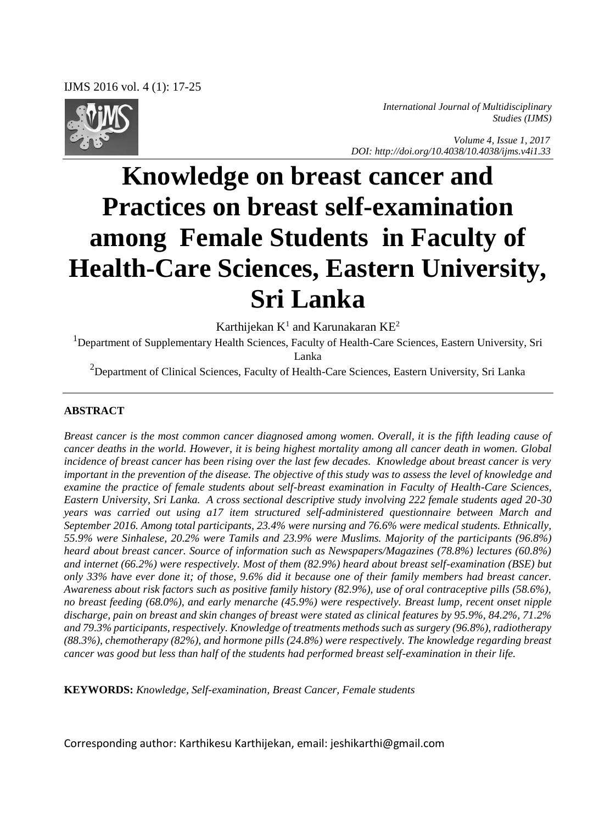

*International Journal of Multidisciplinary Studies (IJMS)* 

 *Volume 4, Issue 1, 2017 DOI: http://doi.org/10.4038/10.4038/ijms.v4i1.33*

# **Knowledge on breast cancer and Practices on breast self-examination among Female Students in Faculty of Health-Care Sciences, Eastern University, Sri Lanka**

Karthijekan  $K^1$  and Karunakaran  $KE^2$ 

<sup>1</sup>Department of Supplementary Health Sciences, Faculty of Health-Care Sciences, Eastern University, Sri Lanka

<sup>2</sup>Department of Clinical Sciences, Faculty of Health-Care Sciences, Eastern University, Sri Lanka

#### **ABSTRACT**

*Breast cancer is the most common cancer diagnosed among women. Overall, it is the fifth leading cause of cancer deaths in the world. However, it is being highest mortality among all cancer death in women. Global incidence of breast cancer has been rising over the last few decades. Knowledge about breast cancer is very important in the prevention of the disease. The objective of this study was to assess the level of knowledge and examine the practice of female students about self-breast examination in Faculty of Health-Care Sciences, Eastern University, Sri Lanka. A cross sectional descriptive study involving 222 female students aged 20-30 years was carried out using a17 item structured self-administered questionnaire between March and September 2016. Among total participants, 23.4% were nursing and 76.6% were medical students. Ethnically, 55.9% were Sinhalese, 20.2% were Tamils and 23.9% were Muslims. Majority of the participants (96.8%) heard about breast cancer. Source of information such as Newspapers/Magazines (78.8%) lectures (60.8%) and internet (66.2%) were respectively. Most of them (82.9%) heard about breast self-examination (BSE) but only 33% have ever done it; of those, 9.6% did it because one of their family members had breast cancer. Awareness about risk factors such as positive family history (82.9%), use of oral contraceptive pills (58.6%), no breast feeding (68.0%), and early menarche (45.9%) were respectively. Breast lump, recent onset nipple discharge, pain on breast and skin changes of breast were stated as clinical features by 95.9%, 84.2%, 71.2% and 79.3% participants, respectively. Knowledge of treatments methods such as surgery (96.8%), radiotherapy (88.3%), chemotherapy (82%), and hormone pills (24.8%) were respectively. The knowledge regarding breast cancer was good but less than half of the students had performed breast self-examination in their life.* 

**KEYWORDS:** *Knowledge, Self-examination, Breast Cancer, Female students*

Corresponding author: Karthikesu Karthijekan, email: jeshikarthi@gmail.com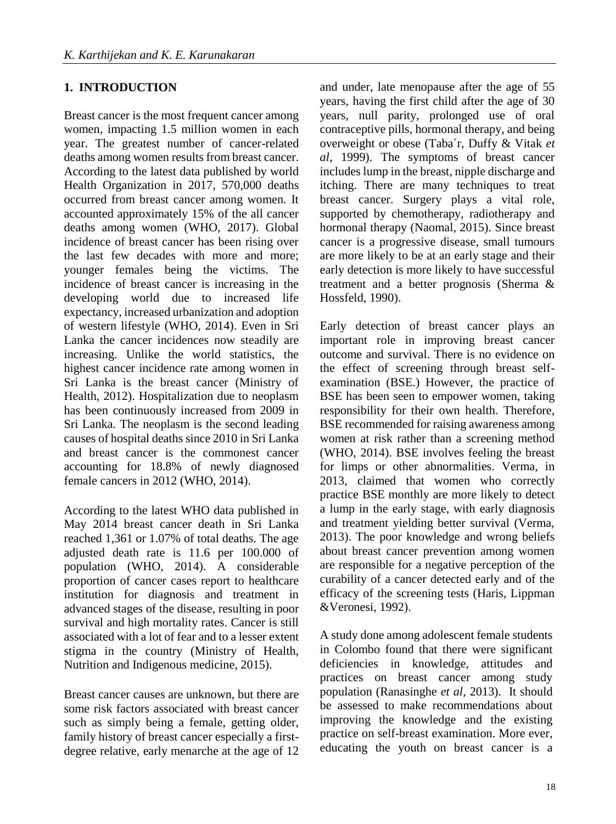### **1. INTRODUCTION**

Breast cancer is the most frequent cancer among women, impacting 1.5 million women in each year. The greatest number of cancer-related deaths among women results from breast cancer. According to the latest data published by world Health Organization in 2017, 570,000 deaths occurred from breast cancer among women. It accounted approximately 15% of the all cancer deaths among women (WHO, 2017). Global incidence of breast cancer has been rising over the last few decades with more and more; younger females being the victims. The incidence of breast cancer is increasing in the developing world due to increased life expectancy, increased urbanization and adoption of western lifestyle (WHO, 2014). Even in Sri Lanka the cancer incidences now steadily are increasing. Unlike the world statistics, the highest cancer incidence rate among women in Sri Lanka is the breast cancer (Ministry of Health, 2012). Hospitalization due to neoplasm has been continuously increased from 2009 in Sri Lanka. The neoplasm is the second leading causes of hospital deaths since 2010 in Sri Lanka and breast cancer is the commonest cancer accounting for 18.8% of newly diagnosed female cancers in 2012 (WHO, 2014).

According to the latest WHO data published in May 2014 breast cancer death in Sri Lanka reached 1,361 or 1.07% of total deaths. The age adjusted death rate is 11.6 per 100.000 of population (WHO, 2014). A considerable proportion of cancer cases report to healthcare institution for diagnosis and treatment in advanced stages of the disease, resulting in poor survival and high mortality rates. Cancer is still associated with a lot of fear and to a lesser extent stigma in the country (Ministry of Health, Nutrition and Indigenous medicine, 2015).

Breast cancer causes are unknown, but there are some risk factors associated with breast cancer such as simply being a female, getting older, family history of breast cancer especially a firstdegree relative, early menarche at the age of 12 and under, late menopause after the age of 55 years, having the first child after the age of 30 years, null parity, prolonged use of oral contraceptive pills, hormonal therapy, and being overweight or obese (Taba´r, Duffy & Vitak *et al,* 1999). The symptoms of breast cancer includes lump in the breast, nipple discharge and itching. There are many techniques to treat breast cancer. Surgery plays a vital role, supported by chemotherapy, radiotherapy and hormonal therapy (Naomal, 2015). Since breast cancer is a progressive disease, small tumours are more likely to be at an early stage and their early detection is more likely to have successful treatment and a better prognosis (Sherma & Hossfeld, 1990).

Early detection of breast cancer plays an important role in improving breast cancer outcome and survival. There is no evidence on the effect of screening through breast selfexamination (BSE.) However, the practice of BSE has been seen to empower women, taking responsibility for their own health. Therefore, BSE recommended for raising awareness among women at risk rather than a screening method (WHO, 2014). BSE involves feeling the breast for limps or other abnormalities. Verma, in 2013, claimed that women who correctly practice BSE monthly are more likely to detect a lump in the early stage, with early diagnosis and treatment yielding better survival (Verma, 2013). The poor knowledge and wrong beliefs about breast cancer prevention among women are responsible for a negative perception of the curability of a cancer detected early and of the efficacy of the screening tests (Haris, Lippman &Veronesi, 1992).

A study done among adolescent female students in Colombo found that there were significant deficiencies in knowledge, attitudes and practices on breast cancer among study population (Ranasinghe *et al*, 2013). It should be assessed to make recommendations about improving the knowledge and the existing practice on self-breast examination. More ever, educating the youth on breast cancer is a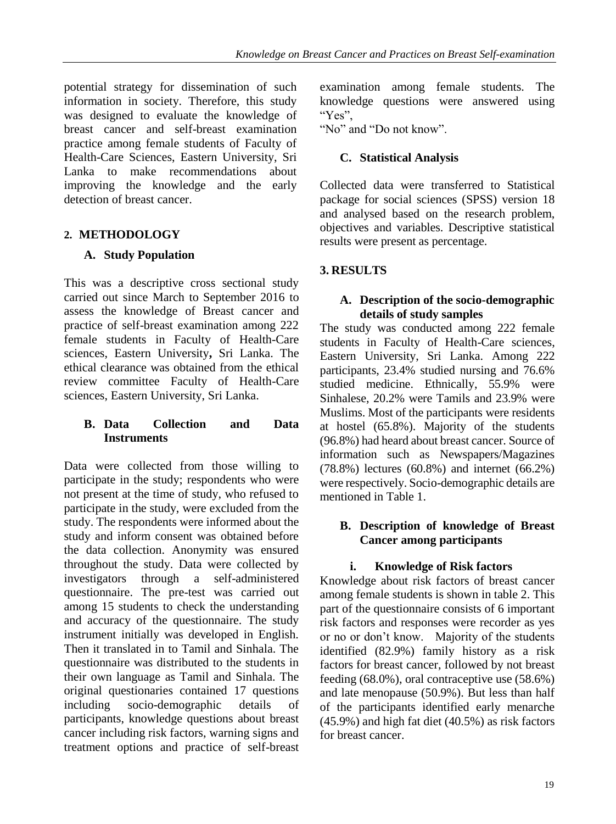potential strategy for dissemination of such information in society. Therefore, this study was designed to evaluate the knowledge of breast cancer and self-breast examination practice among female students of Faculty of Health-Care Sciences, Eastern University, Sri Lanka to make recommendations about improving the knowledge and the early detection of breast cancer.

## **2. METHODOLOGY**

## **A. Study Population**

This was a descriptive cross sectional study carried out since March to September 2016 to assess the knowledge of Breast cancer and practice of self-breast examination among 222 female students in Faculty of Health-Care sciences, Eastern University**,** Sri Lanka. The ethical clearance was obtained from the ethical review committee Faculty of Health-Care sciences, Eastern University, Sri Lanka.

#### **B. Data Collection and Data Instruments**

Data were collected from those willing to participate in the study; respondents who were not present at the time of study, who refused to participate in the study, were excluded from the study. The respondents were informed about the study and inform consent was obtained before the data collection. Anonymity was ensured throughout the study. Data were collected by investigators through a self-administered questionnaire. The pre-test was carried out among 15 students to check the understanding and accuracy of the questionnaire. The study instrument initially was developed in English. Then it translated in to Tamil and Sinhala. The questionnaire was distributed to the students in their own language as Tamil and Sinhala. The original questionaries contained 17 questions including socio-demographic details of participants, knowledge questions about breast cancer including risk factors, warning signs and treatment options and practice of self-breast

examination among female students. The knowledge questions were answered using "Yes",

"No" and "Do not know".

# **C. Statistical Analysis**

Collected data were transferred to Statistical package for social sciences (SPSS) version 18 and analysed based on the research problem, objectives and variables. Descriptive statistical results were present as percentage.

## **3. RESULTS**

#### **A. Description of the socio-demographic details of study samples**

The study was conducted among 222 female students in Faculty of Health-Care sciences, Eastern University, Sri Lanka. Among 222 participants, 23.4% studied nursing and 76.6% studied medicine. Ethnically, 55.9% were Sinhalese, 20.2% were Tamils and 23.9% were Muslims. Most of the participants were residents at hostel (65.8%). Majority of the students (96.8%) had heard about breast cancer. Source of information such as Newspapers/Magazines (78.8%) lectures (60.8%) and internet (66.2%) were respectively. Socio-demographic details are mentioned in Table 1.

#### **B. Description of knowledge of Breast Cancer among participants**

## **i. Knowledge of Risk factors**

Knowledge about risk factors of breast cancer among female students is shown in table 2. This part of the questionnaire consists of 6 important risk factors and responses were recorder as yes or no or don't know. Majority of the students identified (82.9%) family history as a risk factors for breast cancer, followed by not breast feeding (68.0%), oral contraceptive use (58.6%) and late menopause (50.9%). But less than half of the participants identified early menarche (45.9%) and high fat diet (40.5%) as risk factors for breast cancer.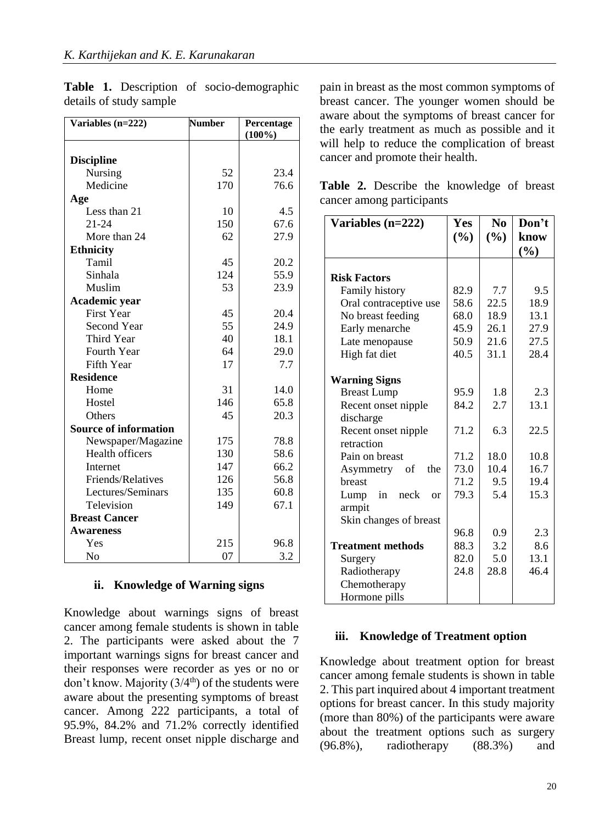| Variables (n=222)            | <b>Number</b> | Percentage<br>$(100\%)$ |  |
|------------------------------|---------------|-------------------------|--|
|                              |               |                         |  |
| <b>Discipline</b>            |               |                         |  |
| Nursing                      | 52            | 23.4                    |  |
| Medicine                     | 170           | 76.6                    |  |
| Age                          |               |                         |  |
| Less than 21                 | 10            | 4.5                     |  |
| $21 - 24$                    | 150           | 67.6                    |  |
| More than 24                 | 62            | 27.9                    |  |
| <b>Ethnicity</b>             |               |                         |  |
| Tamil                        | 45            | 20.2                    |  |
| Sinhala                      | 124           | 55.9                    |  |
| Muslim                       | 53            | 23.9                    |  |
| Academic year                |               |                         |  |
| First Year                   | 45            | 20.4                    |  |
| <b>Second Year</b>           | 55            | 24.9                    |  |
| <b>Third Year</b>            | 40            | 18.1                    |  |
| Fourth Year                  | 64            | 29.0                    |  |
| <b>Fifth Year</b>            | 17            | 7.7                     |  |
| <b>Residence</b>             |               |                         |  |
| Home                         | 31            | 14.0                    |  |
| Hostel                       | 146           | 65.8                    |  |
| Others                       | 45            | 20.3                    |  |
| <b>Source of information</b> |               |                         |  |
| Newspaper/Magazine           | 175           | 78.8                    |  |
| <b>Health officers</b>       | 130           | 58.6                    |  |
| <b>Internet</b>              | 147           | 66.2                    |  |
| Friends/Relatives            | 126           | 56.8                    |  |
| Lectures/Seminars            | 135           | 60.8                    |  |
| Television                   | 149           | 67.1                    |  |
| <b>Breast Cancer</b>         |               |                         |  |
| <b>Awareness</b>             |               |                         |  |
| Yes                          | 215           | 96.8                    |  |
| No                           | 07            | 3.2                     |  |

**Table 1.** Description of socio-demographic details of study sample

#### **ii. Knowledge of Warning signs**

Knowledge about warnings signs of breast cancer among female students is shown in table 2. The participants were asked about the 7 important warnings signs for breast cancer and their responses were recorder as yes or no or don't know. Majority  $(3/4<sup>th</sup>)$  of the students were aware about the presenting symptoms of breast cancer. Among 222 participants, a total of 95.9%, 84.2% and 71.2% correctly identified Breast lump, recent onset nipple discharge and pain in breast as the most common symptoms of breast cancer. The younger women should be aware about the symptoms of breast cancer for the early treatment as much as possible and it will help to reduce the complication of breast cancer and promote their health.

|  |                           | <b>Table 2.</b> Describe the knowledge of breast |  |
|--|---------------------------|--------------------------------------------------|--|
|  | cancer among participants |                                                  |  |

| Variables $(n=222)$      | Yes  | N <sub>0</sub> | Don't       |
|--------------------------|------|----------------|-------------|
|                          | (%)  | (%)            | know<br>(%) |
|                          |      |                |             |
| <b>Risk Factors</b>      |      |                |             |
| <b>Family history</b>    | 82.9 | 7.7            | 9.5         |
| Oral contraceptive use   | 58.6 | 22.5           | 18.9        |
| No breast feeding        | 68.0 | 18.9           | 13.1        |
| Early menarche           | 45.9 | 26.1           | 27.9        |
| Late menopause           | 50.9 | 21.6           | 27.5        |
| High fat diet            | 40.5 | 31.1           | 28.4        |
|                          |      |                |             |
| <b>Warning Signs</b>     |      |                |             |
| <b>Breast Lump</b>       | 95.9 | 1.8            | 2.3         |
| Recent onset nipple      | 84.2 | 2.7            | 13.1        |
| discharge                |      |                |             |
| Recent onset nipple      | 71.2 | 6.3            | 22.5        |
| retraction               |      |                |             |
| Pain on breast           | 71.2 | 18.0           | 10.8        |
| the<br>Asymmetry<br>- of | 73.0 | 10.4           | 16.7        |
| breast                   | 71.2 | 9.5            | 19.4        |
| Lump<br>in<br>neck<br>or | 79.3 | 5.4            | 15.3        |
| armpit                   |      |                |             |
| Skin changes of breast   |      |                |             |
|                          | 96.8 | 0.9            | 2.3         |
| <b>Treatment methods</b> | 88.3 | 3.2            | 8.6         |
| Surgery                  | 82.0 | 5.0            | 13.1        |
| Radiotherapy             | 24.8 | 28.8           | 46.4        |
| Chemotherapy             |      |                |             |
| Hormone pills            |      |                |             |

#### **iii. Knowledge of Treatment option**

Knowledge about treatment option for breast cancer among female students is shown in table 2. This part inquired about 4 important treatment options for breast cancer. In this study majority (more than 80%) of the participants were aware about the treatment options such as surgery (96.8%), radiotherapy (88.3%) and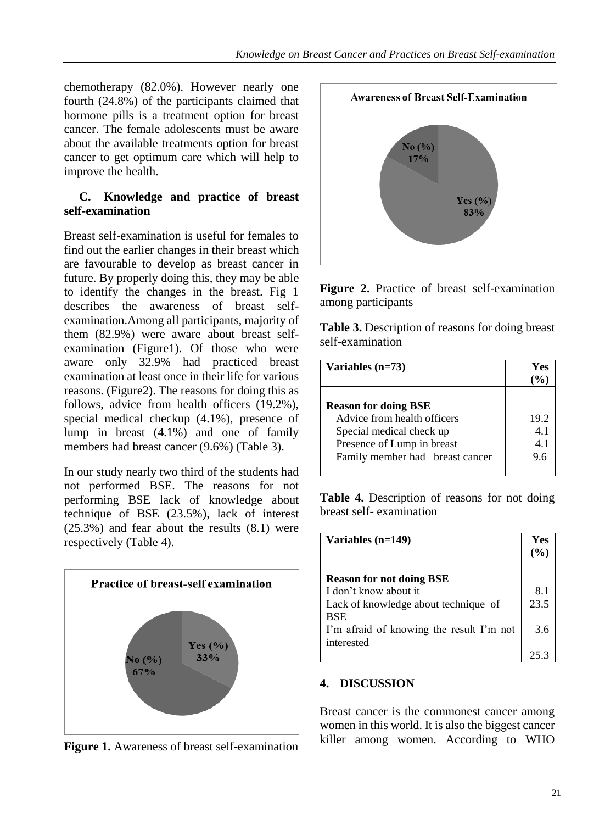chemotherapy (82.0%). However nearly one fourth (24.8%) of the participants claimed that hormone pills is a treatment option for breast cancer. The female adolescents must be aware about the available treatments option for breast cancer to get optimum care which will help to improve the health.

#### **C. Knowledge and practice of breast self-examination**

Breast self-examination is useful for females to find out the earlier changes in their breast which are favourable to develop as breast cancer in future. By properly doing this, they may be able to identify the changes in the breast. Fig 1 describes the awareness of breast selfexamination.Among all participants, majority of them (82.9%) were aware about breast selfexamination (Figure1). Of those who were aware only 32.9% had practiced breast examination at least once in their life for various reasons. (Figure2). The reasons for doing this as follows, advice from health officers (19.2%), special medical checkup (4.1%), presence of lump in breast (4.1%) and one of family members had breast cancer (9.6%) (Table 3).

In our study nearly two third of the students had not performed BSE. The reasons for not performing BSE lack of knowledge about technique of BSE (23.5%), lack of interest (25.3%) and fear about the results (8.1) were respectively (Table 4).



**Figure 1.** Awareness of breast self-examination



**Figure 2.** Practice of breast self-examination among participants

**Table 3.** Description of reasons for doing breast self-examination

| Variables (n=73)                                           | Yes<br>$($ % $)$ |
|------------------------------------------------------------|------------------|
|                                                            |                  |
| <b>Reason for doing BSE</b><br>Advice from health officers | 19.2             |
|                                                            |                  |
| Special medical check up                                   | 4.1              |
| Presence of Lump in breast                                 | 4.1              |
| Family member had breast cancer                            | 9.6              |

**Table 4.** Description of reasons for not doing breast self- examination

| Variables $(n=149)$                                    |      |
|--------------------------------------------------------|------|
| <b>Reason for not doing BSE</b>                        |      |
| I don't know about it                                  | 8.1  |
| Lack of knowledge about technique of<br><b>BSE</b>     | 23.5 |
| I'm afraid of knowing the result I'm not<br>interested | 3.6  |
|                                                        |      |

#### **4. DISCUSSION**

Breast cancer is the commonest cancer among women in this world. It is also the biggest cancer killer among women. According to WHO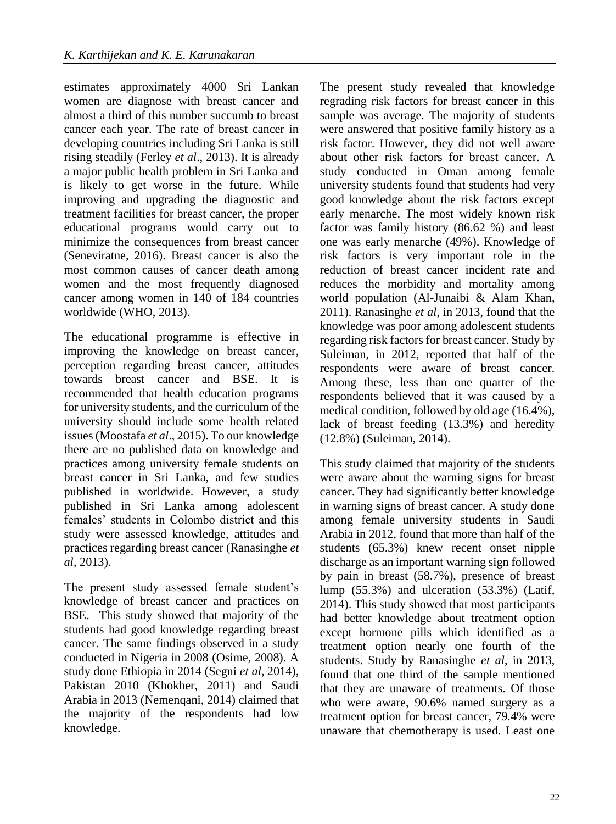estimates approximately 4000 Sri Lankan women are diagnose with breast cancer and almost a third of this number succumb to breast cancer each year. The rate of breast cancer in developing countries including Sri Lanka is still rising steadily (Ferley *et al*., 2013). It is already a major public health problem in Sri Lanka and is likely to get worse in the future. While improving and upgrading the diagnostic and treatment facilities for breast cancer, the proper educational programs would carry out to minimize the consequences from breast cancer (Seneviratne, 2016). Breast cancer is also the most common causes of cancer death among women and the most frequently diagnosed cancer among women in 140 of 184 countries worldwide (WHO, 2013).

The educational programme is effective in improving the knowledge on breast cancer, perception regarding breast cancer, attitudes towards breast cancer and BSE. It is recommended that health education programs for university students, and the curriculum of the university should include some health related issues (Moostafa *et al*., 2015). To our knowledge there are no published data on knowledge and practices among university female students on breast cancer in Sri Lanka, and few studies published in worldwide. However, a study published in Sri Lanka among adolescent females' students in Colombo district and this study were assessed knowledge, attitudes and practices regarding breast cancer (Ranasinghe *et al*, 2013).

The present study assessed female student's knowledge of breast cancer and practices on BSE. This study showed that majority of the students had good knowledge regarding breast cancer. The same findings observed in a study conducted in Nigeria in 2008 (Osime, 2008). A study done Ethiopia in 2014 (Segni *et al*, 2014), Pakistan 2010 (Khokher, 2011) and Saudi Arabia in 2013 (Nemenqani, 2014) claimed that the majority of the respondents had low knowledge.

The present study revealed that knowledge regrading risk factors for breast cancer in this sample was average. The majority of students were answered that positive family history as a risk factor. However, they did not well aware about other risk factors for breast cancer. A study conducted in Oman among female university students found that students had very good knowledge about the risk factors except early menarche. The most widely known risk factor was family history (86.62 %) and least one was early menarche (49%). Knowledge of risk factors is very important role in the reduction of breast cancer incident rate and reduces the morbidity and mortality among world population (Al-Junaibi & Alam Khan, 2011). Ranasinghe *et al*, in 2013, found that the knowledge was poor among adolescent students regarding risk factors for breast cancer. Study by Suleiman, in 2012, reported that half of the respondents were aware of breast cancer. Among these, less than one quarter of the respondents believed that it was caused by a medical condition, followed by old age (16.4%), lack of breast feeding (13.3%) and heredity (12.8%) (Suleiman, 2014).

This study claimed that majority of the students were aware about the warning signs for breast cancer. They had significantly better knowledge in warning signs of breast cancer. A study done among female university students in Saudi Arabia in 2012, found that more than half of the students (65.3%) knew recent onset nipple discharge as an important warning sign followed by pain in breast (58.7%), presence of breast lump (55.3%) and ulceration (53.3%) (Latif, 2014). This study showed that most participants had better knowledge about treatment option except hormone pills which identified as a treatment option nearly one fourth of the students. Study by Ranasinghe *et al*, in 2013, found that one third of the sample mentioned that they are unaware of treatments. Of those who were aware, 90.6% named surgery as a treatment option for breast cancer, 79.4% were unaware that chemotherapy is used. Least one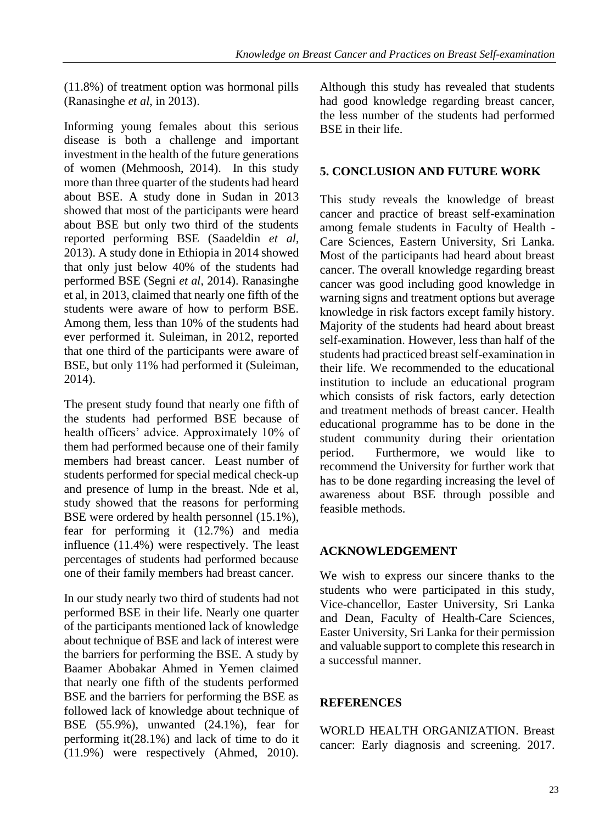(11.8%) of treatment option was hormonal pills (Ranasinghe *et al*, in 2013).

Informing young females about this serious disease is both a challenge and important investment in the health of the future generations of women (Mehmoosh, 2014). In this study more than three quarter of the students had heard about BSE. A study done in Sudan in 2013 showed that most of the participants were heard about BSE but only two third of the students reported performing BSE (Saadeldin *et al*, 2013). A study done in Ethiopia in 2014 showed that only just below 40% of the students had performed BSE (Segni *et al*, 2014). Ranasinghe et al, in 2013, claimed that nearly one fifth of the students were aware of how to perform BSE. Among them, less than 10% of the students had ever performed it. Suleiman, in 2012, reported that one third of the participants were aware of BSE, but only 11% had performed it (Suleiman, 2014).

The present study found that nearly one fifth of the students had performed BSE because of health officers' advice. Approximately 10% of them had performed because one of their family members had breast cancer. Least number of students performed for special medical check-up and presence of lump in the breast. Nde et al, study showed that the reasons for performing BSE were ordered by health personnel (15.1%), fear for performing it (12.7%) and media influence (11.4%) were respectively. The least percentages of students had performed because one of their family members had breast cancer.

In our study nearly two third of students had not performed BSE in their life. Nearly one quarter of the participants mentioned lack of knowledge about technique of BSE and lack of interest were the barriers for performing the BSE. A study by Baamer Abobakar Ahmed in Yemen claimed that nearly one fifth of the students performed BSE and the barriers for performing the BSE as followed lack of knowledge about technique of BSE (55.9%), unwanted (24.1%), fear for performing it(28.1%) and lack of time to do it (11.9%) were respectively (Ahmed, 2010).

Although this study has revealed that students had good knowledge regarding breast cancer, the less number of the students had performed BSE in their life.

#### **5. CONCLUSION AND FUTURE WORK**

This study reveals the knowledge of breast cancer and practice of breast self-examination among female students in Faculty of Health - Care Sciences, Eastern University, Sri Lanka. Most of the participants had heard about breast cancer. The overall knowledge regarding breast cancer was good including good knowledge in warning signs and treatment options but average knowledge in risk factors except family history. Majority of the students had heard about breast self-examination. However, less than half of the students had practiced breast self-examination in their life. We recommended to the educational institution to include an educational program which consists of risk factors, early detection and treatment methods of breast cancer. Health educational programme has to be done in the student community during their orientation period. Furthermore, we would like to recommend the University for further work that has to be done regarding increasing the level of awareness about BSE through possible and feasible methods.

#### **ACKNOWLEDGEMENT**

We wish to express our sincere thanks to the students who were participated in this study, Vice-chancellor, Easter University, Sri Lanka and Dean, Faculty of Health-Care Sciences, Easter University, Sri Lanka for their permission and valuable support to complete this research in a successful manner.

#### **REFERENCES**

WORLD HEALTH ORGANIZATION. Breast cancer: Early diagnosis and screening. 2017.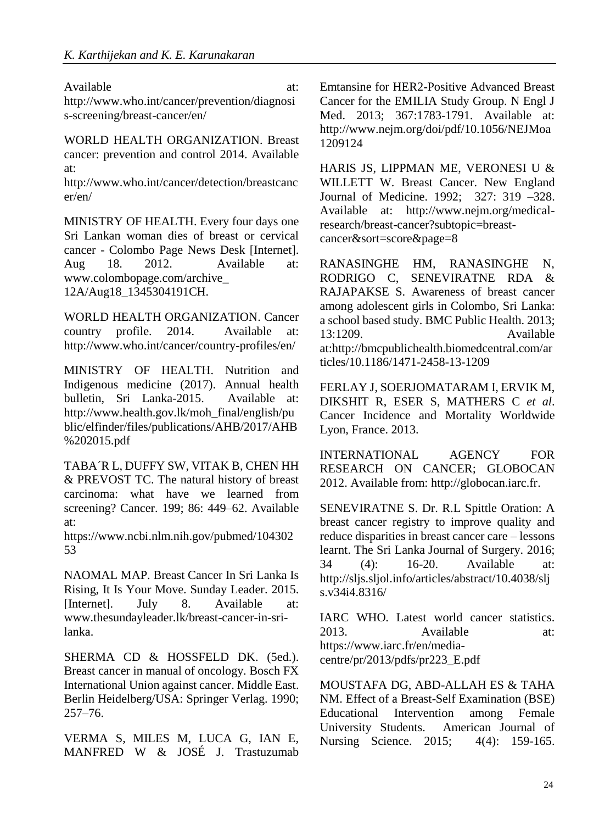Available at: at:

http://www.who.int/cancer/prevention/diagnosi s-screening/breast-cancer/en/

WORLD HEALTH ORGANIZATION. Breast cancer: prevention and control 2014. Available at:

http://www.who.int/cancer/detection/breastcanc er/en/

MINISTRY OF HEALTH. Every four days one Sri Lankan woman dies of breast or cervical cancer - Colombo Page News Desk [Internet]. Aug 18. 2012. Available at: www.colombopage.com/archive\_ 12A/Aug18\_1345304191CH.

WORLD HEALTH ORGANIZATION. Cancer country profile. 2014. Available at: http://www.who.int/cancer/country-profiles/en/

MINISTRY OF HEALTH. Nutrition and Indigenous medicine (2017). Annual health bulletin, Sri Lanka-2015. Available at: http://www.health.gov.lk/moh\_final/english/pu blic/elfinder/files/publications/AHB/2017/AHB %202015.pdf

TABA´R L, DUFFY SW, VITAK B, CHEN HH & PREVOST TC. The natural history of breast carcinoma: what have we learned from screening? Cancer. 199; 86: 449–62. Available at:

https://www.ncbi.nlm.nih.gov/pubmed/104302 53

NAOMAL MAP. Breast Cancer In Sri Lanka Is Rising, It Is Your Move. Sunday Leader. 2015. [Internet]. July 8. Available at: www.thesundayleader.lk/breast-cancer-in-srilanka.

SHERMA CD & HOSSFELD DK. (5ed.). Breast cancer in manual of oncology. Bosch FX International Union against cancer. Middle East. Berlin Heidelberg/USA: Springer Verlag. 1990; 257–76.

VERMA S, MILES M, LUCA G, IAN E, MANFRED W & JOSÉ J. Trastuzumab Emtansine for HER2-Positive Advanced Breast Cancer for the EMILIA Study Group. N Engl J Med. 2013; 367:1783-1791. Available at: http://www.nejm.org/doi/pdf/10.1056/NEJMoa 1209124

HARIS JS, LIPPMAN ME, VERONESI U & WILLETT W. Breast Cancer. New England Journal of Medicine. 1992; 327: 319 –328. Available at: http://www.nejm.org/medicalresearch/breast-cancer?subtopic=breastcancer&sort=score&page=8

RANASINGHE HM, RANASINGHE N, RODRIGO C, SENEVIRATNE RDA & RAJAPAKSE S. Awareness of breast cancer among adolescent girls in Colombo, Sri Lanka: a school based study. BMC Public Health. 2013; 13:1209. Available at:http://bmcpublichealth.biomedcentral.com/ar ticles/10.1186/1471-2458-13-1209

FERLAY J, SOERJOMATARAM I, ERVIK M, DIKSHIT R, ESER S, MATHERS C *et al*. Cancer Incidence and Mortality Worldwide Lyon, France. 2013.

INTERNATIONAL AGENCY FOR RESEARCH ON CANCER; GLOBOCAN 2012. Available from: http://globocan.iarc.fr.

SENEVIRATNE S. Dr. R.L Spittle Oration: A breast cancer registry to improve quality and reduce disparities in breast cancer care – lessons learnt. The Sri Lanka Journal of Surgery. 2016; 34 (4): 16-20. Available at: http://sljs.sljol.info/articles/abstract/10.4038/slj s.v34i4.8316/

IARC WHO. Latest world cancer statistics. 2013. Available at: https://www.iarc.fr/en/mediacentre/pr/2013/pdfs/pr223\_E.pdf

MOUSTAFA DG, ABD-ALLAH ES & TAHA NM. Effect of a Breast-Self Examination (BSE) Educational Intervention among Female University Students. American Journal of Nursing Science. 2015; 4(4): 159-165.